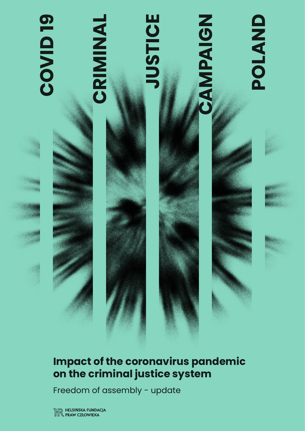

## **Impact of the coronavirus pandemic on the criminal justice system**

Freedom of assembly - update

HELSIŃSKA FUNDACJA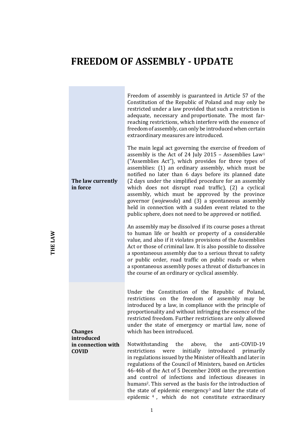## **FREEDOM OF ASSEMBLY - UPDATE**

**Contract Contract Contract** 

| The law currently<br>in force                                      | Freedom of assembly is guaranteed in Article 57 of the<br>Constitution of the Republic of Poland and may only be<br>restricted under a law provided that such a restriction is<br>adequate, necessary and proportionate. The most far-<br>reaching restrictions, which interfere with the essence of<br>freedom of assembly, can only be introduced when certain<br>extraordinary measures are introduced.<br>The main legal act governing the exercise of freedom of<br>assembly is the Act of 24 July 2015 - Assemblies Law <sup>1</sup><br>("Assemblies Act"), which provides for three types of<br>assemblies: (1) an ordinary assembly, which must be<br>notified no later than 6 days before its planned date<br>(2 days under the simplified procedure for an assembly<br>which does not disrupt road traffic), (2) a cyclical<br>assembly, which must be approved by the province<br>governor (wojewoda) and (3) a spontaneous assembly<br>held in connection with a sudden event related to the<br>public sphere, does not need to be approved or notified.<br>An assembly may be dissolved if its course poses a threat<br>to human life or health or property of a considerable<br>value, and also if it violates provisions of the Assemblies<br>Act or those of criminal law. It is also possible to dissolve<br>a spontaneous assembly due to a serious threat to safety<br>or public order, road traffic on public roads or when<br>a spontaneous assembly poses a threat of disturbances in<br>the course of an ordinary or cyclical assembly. |
|--------------------------------------------------------------------|----------------------------------------------------------------------------------------------------------------------------------------------------------------------------------------------------------------------------------------------------------------------------------------------------------------------------------------------------------------------------------------------------------------------------------------------------------------------------------------------------------------------------------------------------------------------------------------------------------------------------------------------------------------------------------------------------------------------------------------------------------------------------------------------------------------------------------------------------------------------------------------------------------------------------------------------------------------------------------------------------------------------------------------------------------------------------------------------------------------------------------------------------------------------------------------------------------------------------------------------------------------------------------------------------------------------------------------------------------------------------------------------------------------------------------------------------------------------------------------------------------------------------------------------------------------|
| <b>Changes</b><br>introduced<br>in connection with<br><b>COVID</b> | Under the Constitution of the Republic of Poland,<br>restrictions on the freedom of assembly may be<br>introduced by a law, in compliance with the principle of<br>proportionality and without infringing the essence of the<br>restricted freedom. Further restrictions are only allowed<br>under the state of emergency or martial law, none of<br>which has been introduced.<br>Notwithstanding the above, the anti-COVID-19<br>restrictions<br>were<br>initially introduced<br>primarily<br>in regulations issued by the Minister of Health and later in<br>regulations of the Council of Ministers, based on Articles<br>46-46b of the Act of 5 December 2008 on the prevention<br>and control of infections and infectious diseases in<br>humans <sup>2</sup> . This served as the basis for the introduction of<br>the state of epidemic emergency <sup>3</sup> and later the state of<br>epidemic <sup>4</sup> , which do not constitute extraordinary                                                                                                                                                                                                                                                                                                                                                                                                                                                                                                                                                                                                 |

**THE LAW**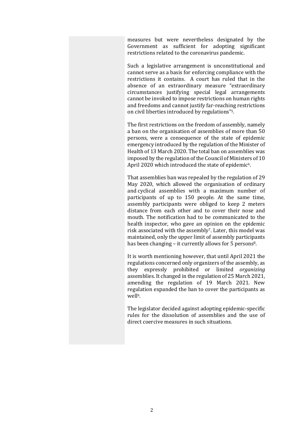measures but were nevertheless designated by the Government as sufficient for adopting significant restrictions related to the coronavirus pandemic.

Such a legislative arrangement is unconstitutional and cannot serve as a basis for enforcing compliance with the restrictions it contains. A court has ruled that in the absence of an extraordinary measure "extraordinary circumstances justifying special legal arrangements cannot be invoked to impose restrictions on human rights and freedoms and cannot justify far-reaching restrictions on civil liberties introduced by regulations"5.

The first restrictions on the freedom of assembly, namely a ban on the organisation of assemblies of more than 50 persons, were a consequence of the state of epidemic emergency introduced by the regulation of the Minister of Health of 13 March 2020. The total ban on assemblies was imposed by the regulation of the Council of Ministers of 10 April 2020 which introduced the state of epidemic<sup>6</sup>.

That assemblies ban was repealed by the regulation of 29 May 2020, which allowed the organisation of ordinary and cyclical assemblies with a maximum number of participants of up to 150 people. At the same time, assembly participants were obliged to keep 2 meters distance from each other and to cover their nose and mouth. The notification had to be communicated to the health inspector, who gave an opinion on the epidemic risk associated with the assembly<sup>7</sup>. Later, this model was maintained, only the upper limit of assembly participants has been changing – it currently allows for 5 persons<sup>8</sup>.

It is worth mentioning however, that until April 2021 the regulations concerned only organizers of the assembly, as they expressly prohibited or limited *organizing*  assemblies. It changed in the regulation of 25 March 2021, amending the regulation of 19 March 2021. New regulation expanded the ban to cover the participants as well9.

The legislator decided against adopting epidemic-specific rules for the dissolution of assemblies and the use of direct coercive measures in such situations.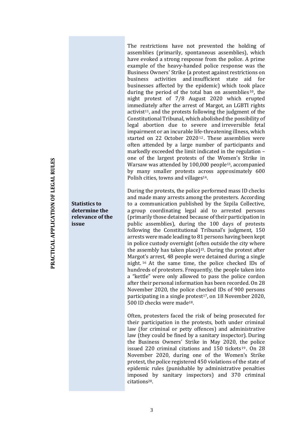The restrictions have not prevented the holding of assemblies (primarily, spontaneous assemblies), which have evoked a strong response from the police. A prime example of the heavy-handed police response was the Business Owners' Strike (a protest against restrictions on business activities and insufficient state aid for businesses affected by the epidemic) which took place during the period of the total ban on assemblies<sup>10</sup>, the night protest of 7/8 August 2020 which erupted immediately after the arrest of Margot, an LGBTI rights activist<sup>11</sup>, and the protests following the judgment of the Constitutional Tribunal, which abolished the possibility of legal abortion due to severe and irreversible fetal impairment or an incurable life-threatening illness, which started on 22 October 2020<sup>12</sup>. These assemblies were often attended by a large number of participants and markedly exceeded the limit indicated in the regulation – one of the largest protests of the Women's Strike in Warsaw was attended by 100,000 people13, accompanied by many smaller protests across approximately 600 Polish cities, towns and villages<sup>14</sup>.

During the protests, the police performed mass ID checks and made many arrests among the protesters. According to a communication published by the Szpila Collective, a group coordinating legal aid to arrested persons (primarily those detained because of their participation in public assemblies), during the 100 days of protests following the Constitutional Tribunal's judgment, 150 arrests were made leading to 81 persons having been kept in police custody overnight (often outside the city where the assembly has taken place $]$ <sup>15</sup>. During the protest after Margot's arrest, 48 people were detained during a single night. <sup>16</sup> At the same time, the police checked IDs of hundreds of protesters. Frequently, the people taken into a "kettle" were only allowed to pass the police cordon after their personal information has been recorded. On 28 November 2020, the police checked IDs of 900 persons participating in a single protest<sup>17</sup>, on 18 November 2020, 500 ID checks were made18.

Often, protesters faced the risk of being prosecuted for their participation in the protests, both under criminal law (for criminal or petty offences) and administrative law (they could be fined by a sanitary inspector). During the Business Owners' Strike in May 2020, the police issued 220 criminal citations and 150 tickets <sup>19</sup> . On 28 November 2020, during one of the Women's Strike protest, the police registered 450 violations of the state of epidemic rules (punishable by administrative penalties imposed by sanitary inspectors) and 370 criminal citations20.

**Statistics to determine the relevance of the** 

**issue**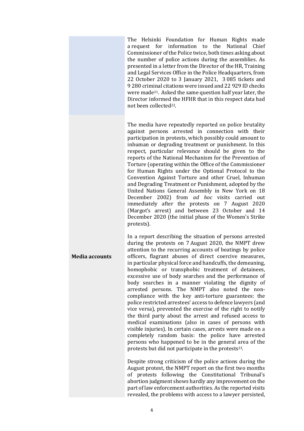The Helsinki Foundation for Human Rights made a request for information to the National Chief Commissioner of the Police twice, both times asking about the number of police actions during the assemblies. As presented in a letter from the Director of the HR, Training and Legal Services Office in the Police Headquarters, from 22 October 2020 to 3 January 2021, 3 085 tickets and 9 280 criminal citations were issued and 22 929 ID checks were made21. Asked the same question half year later, the Director informed the HFHR that in this respect data had not been collected22.

The media have repeatedly reported on police brutality against persons arrested in connection with their participation in protests, which possibly could amount to inhuman or degrading treatment or punishment. In this respect, particular relevance should be given to the reports of the National Mechanism for the Prevention of Torture (operating within the Office of the Commissioner for Human Rights under the Optional Protocol to the Convention Against Torture and other Cruel, Inhuman and Degrading Treatment or Punishment, adopted by the United Nations General Assembly in New York on 18 December 2002) from *ad hoc* visits carried out immediately after the protests on 7 August 2020 (Margot's arrest) and between 23 October and 14 December 2020 (the initial phase of the Women's Strike protests).

**Media accounts** In a report describing the situation of persons arrested during the protests on 7 August 2020, the NMPT drew attention to the recurring accounts of beatings by police officers, flagrant abuses of direct coercive measures, in particular physical force and handcuffs, the demeaning, homophobic or transphobic treatment of detainees, excessive use of body searches and the performance of body searches in a manner violating the dignity of arrested persons. The NMPT also noted the noncompliance with the key anti-torture guarantees: the police restricted arrestees' access to defence lawyers (and vice versa), prevented the exercise of the right to notify the third party about the arrest and refused access to medical examinations (also in cases of persons with visible injuries). In certain cases, arrests were made on a completely random basis: the police have arrested persons who happened to be in the general area of the protests but did not participate in the protests $23$ .

> Despite strong criticism of the police actions during the August protest, the NMPT report on the first two months of protests following the Constitutional Tribunal's abortion judgment shows hardly any improvement on the part of law enforcement authorities. As the reported visits revealed, the problems with access to a lawyer persisted,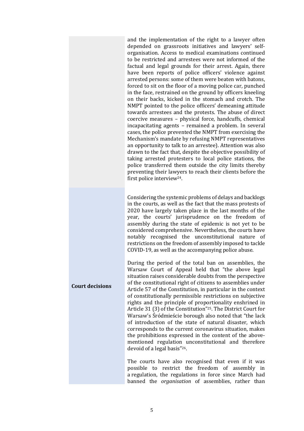and the implementation of the right to a lawyer often depended on grassroots initiatives and lawyers' selforganisation. Access to medical examinations continued to be restricted and arrestees were not informed of the factual and legal grounds for their arrest. Again, there have been reports of police officers' violence against arrested persons: some of them were beaten with batons, forced to sit on the floor of a moving police car, punched in the face, restrained on the ground by officers kneeling on their backs, kicked in the stomach and crotch. The NMPT pointed to the police officers' demeaning attitude towards arrestees and the protests. The abuse of direct coercive measures – physical force, handcuffs, chemical incapacitating agents – remained a problem. In several cases, the police prevented the NMPT from exercising the Mechanism's mandate by refusing NMPT representatives an opportunity to talk to an arrestee). Attention was also drawn to the fact that, despite the objective possibility of taking arrested protesters to local police stations, the police transferred them outside the city limits thereby preventing their lawyers to reach their clients before the first police interview24.

Considering the systemic problems of delays and backlogs in the courts, as well as the fact that the mass protests of 2020 have largely taken place in the last months of the year, the courts' jurisprudence on the freedom of assembly during the state of epidemic is not yet to be considered comprehensive. Nevertheless, the courts have notably recognised the unconstitutional nature of restrictions on the freedom of assembly imposed to tackle COVID-19, as well as the accompanying police abuse.

**Court decisions** During the period of the total ban on assemblies, the Warsaw Court of Appeal held that "the above legal situation raises considerable doubts from the perspective of the constitutional right of citizens to assemblies under Article 57 of the Constitution, in particular in the context of constitutionally permissible restrictions on subjective rights and the principle of proportionality enshrined in Article 31 (3) of the Constitution"25. The District Court for Warsaw's Śródmieście borough also noted that "the lack of introduction of the state of natural disaster, which corresponds to the current coronavirus situation, makes the prohibitions expressed in the content of the abovementioned regulation unconstitutional and therefore devoid of a legal basis"26.

> The courts have also recognised that even if it was possible to restrict the freedom of assembly in a regulation, the regulations in force since March had banned the *organisation* of assemblies, rather than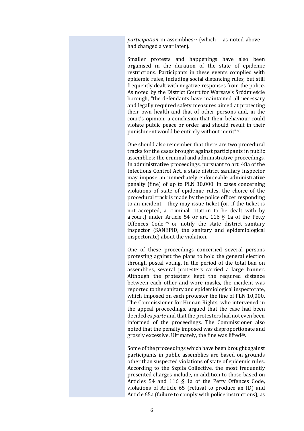*participation* in assemblies<sup>27</sup> (which – as noted above – had changed a year later).

Smaller protests and happenings have also been organised in the duration of the state of epidemic restrictions. Participants in these events complied with epidemic rules, including social distancing rules, but still frequently dealt with negative responses from the police. As noted by the District Court for Warsaw's Śródmieście borough, "the defendants have maintained all necessary and legally required safety measures aimed at protecting their own health and that of other persons and, in the court's opinion, a conclusion that their behaviour could violate public peace or order and should result in their punishment would be entirely without merit"28.

One should also remember that there are two procedural tracks for the cases brought against participants in public assemblies: the criminal and administrative proceedings. In administrative proceedings, pursuant to art. 48a of the Infections Control Act, a state district sanitary inspector may impose an immediately enforceable administrative penalty (fine) of up to PLN 30,000. In cases concerning violations of state of epidemic rules, the choice of the procedural track is made by the police officer responding to an incident – they may issue ticket (or, if the ticket is not accepted, a criminal citation to be dealt with by a court) under Article 54 or art. 116 § 1a of the Petty Offences Code <sup>29</sup> or notify the state district sanitary inspector (SANEPID, the sanitary and epidemiological inspectorate) about the violation.

One of these proceedings concerned several persons protesting against the plans to hold the general election through postal voting. In the period of the total ban on assemblies, several protesters carried a large banner. Although the protesters kept the required distance between each other and wore masks, the incident was reported to the sanitary and epidemiological inspectorate, which imposed on each protester the fine of PLN 10,000. The Commissioner for Human Rights, who intervened in the appeal proceedings, argued that the case had been decided *ex parte* and that the protesters had not even been informed of the proceedings. The Commissioner also noted that the penalty imposed was disproportionate and grossly excessive. Ultimately, the fine was lifted<sup>30</sup>.

Some of the proceedings which have been brought against participants in public assemblies are based on grounds other than suspected violations of state of epidemic rules. According to the Szpila Collective, the most frequently presented charges include, in addition to those based on Articles 54 and 116 § 1a of the Petty Offences Code, violations of Article 65 (refusal to produce an ID) and Article 65a (failure to comply with police instructions), as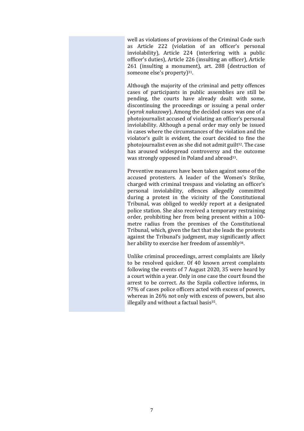well as violations of provisions of the Criminal Code such as Article 222 (violation of an officer's personal inviolability), Article 224 (interfering with a public officer's duties), Article 226 (insulting an officer), Article 261 (insulting a monument), art. 288 (destruction of someone else's property)<sup>31</sup>.

Although the majority of the criminal and petty offences cases of participants in public assemblies are still be pending, the courts have already dealt with some, discontinuing the proceedings or issuing a penal order (*wyrok nakazowy*). Among the decided cases was one of a photojournalist accused of violating an officer's personal inviolability. Although a penal order may only be issued in cases where the circumstances of the violation and the violator's guilt is evident, the court decided to fine the photojournalist even as she did not admit guilt<sup>32</sup>. The case has aroused widespread controversy and the outcome was strongly opposed in Poland and abroad<sup>33</sup>.

Preventive measures have been taken against some of the accused protesters. A leader of the Women's Strike, charged with criminal trespass and violating an officer's personal inviolability, offences allegedly committed during a protest in the vicinity of the Constitutional Tribunal, was obliged to weekly report at a designated police station. She also received a temporary restraining order, prohibiting her from being present within a 100 metre radius from the premises of the Constitutional Tribunal, which, given the fact that she leads the protests against the Tribunal's judgment, may significantly affect her ability to exercise her freedom of assembly<sup>34</sup>.

Unlike criminal proceedings, arrest complaints are likely to be resolved quicker. Of 40 known arrest complaints following the events of 7 August 2020, 35 were heard by a court within a year. Only in one case the court found the arrest to be correct. As the Szpila collective informs, in 97% of cases police officers acted with excess of powers, whereas in 26% not only with excess of powers, but also illegally and without a factual basis<sup>35</sup>.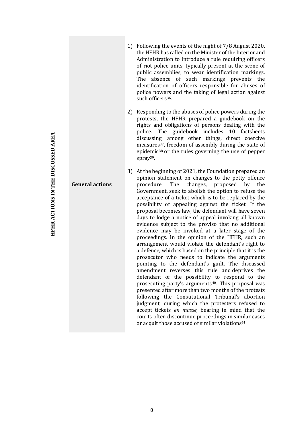- 1) Following the events of the night of 7/8 August 2020, the HFHR has called on the Minister of the Interior and Administration to introduce a rule requiring officers of riot police units, typically present at the scene of public assemblies, to wear identification markings. The absence of such markings prevents the identification of officers responsible for abuses of police powers and the taking of legal action against such officers<sup>36</sup>.
- 2) Responding to the abuses of police powers during the protests, the HFHR prepared a guidebook on the rights and obligations of persons dealing with the police. The guidebook includes 10 factsheets discussing, among other things, direct coercive measures37, freedom of assembly during the state of epidemic<sup>38</sup> or the rules governing the use of pepper spray<sup>39</sup>.
- **General actions** 3) At the beginning of 2021, the Foundation prepared an opinion statement on changes to the petty offence procedure. The changes, proposed by the Government, seek to abolish the option to refuse the acceptance of a ticket which is to be replaced by the possibility of appealing against the ticket. If the proposal becomes law, the defendant will have seven days to lodge a notice of appeal invoking all known evidence subject to the proviso that no additional evidence may be invoked at a later stage of the proceedings. In the opinion of the HFHR, such an arrangement would violate the defendant's right to a defence, which is based on the principle that it is the prosecutor who needs to indicate the arguments pointing to the defendant's guilt. The discussed amendment reverses this rule and deprives the defendant of the possibility to respond to the prosecuting party's arguments<sup>40</sup>. This proposal was presented after more than two months of the protests following the Constitutional Tribunal's abortion judgment, during which the protesters refused to accept tickets *en masse*, bearing in mind that the courts often discontinue proceedings in similar cases or acquit those accused of similar violations<sup>41</sup>.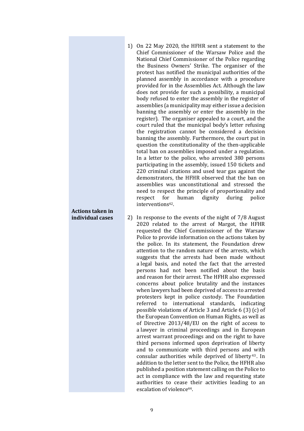1) On 22 May 2020, the HFHR sent a statement to the Chief Commissioner of the Warsaw Police and the National Chief Commissioner of the Police regarding the Business Owners' Strike. The organiser of the protest has notified the municipal authorities of the planned assembly in accordance with a procedure provided for in the Assemblies Act. Although the law does not provide for such a possibility, a municipal body refused to enter the assembly in the register of assemblies (a municipality may either issue a decision banning the assembly or enter the assembly in the register). The organiser appealed to a court, and the court ruled that the municipal body's letter refusing the registration cannot be considered a decision banning the assembly. Furthermore, the court put in question the constitutionality of the then-applicable total ban on assemblies imposed under a regulation. In a letter to the police, who arrested 380 persons participating in the assembly, issued 150 tickets and 220 criminal citations and used tear gas against the demonstrators, the HFHR observed that the ban on assemblies was unconstitutional and stressed the need to respect the principle of proportionality and respect for human dignity during police interventions<sup>42</sup>.

## **Actions taken in individual cases**

2) In response to the events of the night of 7/8 August 2020 related to the arrest of Margot, the HFHR requested the Chief Commissioner of the Warsaw Police to provide information on the actions taken by the police. In its statement, the Foundation drew attention to the random nature of the arrests, which suggests that the arrests had been made without a legal basis, and noted the fact that the arrested persons had not been notified about the basis and reason for their arrest. The HFHR also expressed concerns about police brutality and the instances when lawyers had been deprived of access to arrested protesters kept in police custody. The Foundation referred to international standards, indicating possible violations of Article 3 and Article 6 (3) (c) of the European Convention on Human Rights, as well as of Directive 2013/48/EU on the right of access to a lawyer in criminal proceedings and in European arrest warrant proceedings and on the right to have third persons informed upon deprivation of liberty and to communicate with third persons and with consular authorities while deprived of liberty <sup>43</sup> . In addition to the letter sent to the Police, the HFHR also published a position statement calling on the Police to act in compliance with the law and requesting state authorities to cease their activities leading to an escalation of violence44.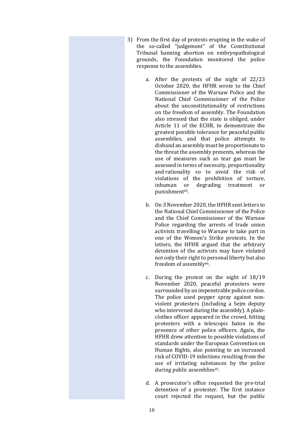- 3) From the first day of protests erupting in the wake of the so-called "judgement" of the Constitutional Tribunal banning abortion on embryopathological grounds, the Foundation monitored the police response to the assemblies.
	- a. After the protests of the night of 22/23 October 2020, the HFHR wrote to the Chief Commissioner of the Warsaw Police and the National Chief Commissioner of the Police about the unconstitutionality of restrictions on the freedom of assembly. The Foundation also stressed that the state is obliged, under Article 11 of the ECHR, to demonstrate the greatest possible tolerance for peaceful public assemblies, and that police attempts to disband an assembly must be proportionate to the threat the assembly presents, whereas the use of measures such as tear gas must be assessed in terms of necessity, proportionality and rationality so to avoid the risk of violations of the prohibition of torture, inhuman or degrading treatment or punishment45.
	- b. On 3 November 2020, the HFHR sent letters to the National Chief Commissioner of the Police and the Chief Commissioner of the Warsaw Police regarding the arrests of trade union activists travelling to Warsaw to take part in one of the Women's Strike protests. In the letters, the HFHR argued that the arbitrary detention of the activists may have violated not only their right to personal liberty but also freedom of assembly46.
	- c. During the protest on the night of 18/19 November 2020, peaceful protesters were surrounded by an impenetrable police cordon. The police used pepper spray against nonviolent protesters (including a Sejm deputy who intervened during the assembly). A plainclothes officer appeared in the crowd, hitting protesters with a telescopic baton in the presence of other police officers. Again, the HFHR drew attention to possible violations of standards under the European Convention on Human Rights, also pointing to an increased risk of COVID-19 infections resulting from the use of irritating substances by the police during public assemblies<sup>47</sup>.
	- d. A prosecutor's office requested the pre-trial detention of a protester. The first instance court rejected the request, but the public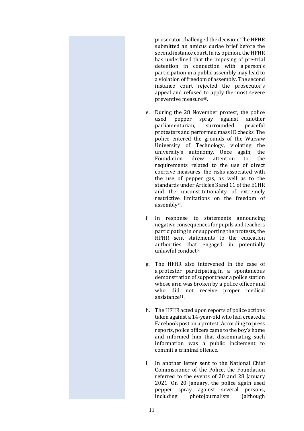prosecutor challenged the decision. The HFHR submitted an amicus curiae brief before the second instance court. In its opinion, the HFHR has underlined that the imposing of pre-trial detention in connection with a person's participation in a public assembly may lead to a violation of freedom of assembly. The second instance court rejected the prosecutor's appeal and refused to apply the most severe preventive measure48.

- e. During the 28 November protest, the police used pepper spray against another parliamentarian, surrounded peaceful protesters and performed mass ID checks. The police entered the grounds of the Warsaw University of Technology, violating the university's autonomy. Once again, the Foundation drew attention to the requirements related to the use of direct coercive measures, the risks associated with the use of pepper gas, as well as to the standards under Articles 3 and 11 of the ECHR and the unconstitutionality of extremely restrictive limitations on the freedom of assembly49.
- f. In response to statements announcing negative consequences for pupils and teachers participating in or supporting the protests, the HFHR sent statements to the education authorities that engaged in potentially unlawful conduct50.
- g. The HFHR also intervened in the case of a protester participating in a spontaneous demonstration of support near a police station whose arm was broken by a police officer and who did not receive proper medical assistance51.
- h. The HFHR acted upon reports of police actions taken against a 14-year-old who had created a Facebook post on a protest. According to press reports, police officers came to the boy's home and informed him that disseminating such information was a public incitement to commit a criminal offence.
- i. In another letter sent to the National Chief Commissioner of the Police, the Foundation referred to the events of 20 and 28 January 2021. On 20 January, the police again used pepper spray against several persons, including photojournalists (although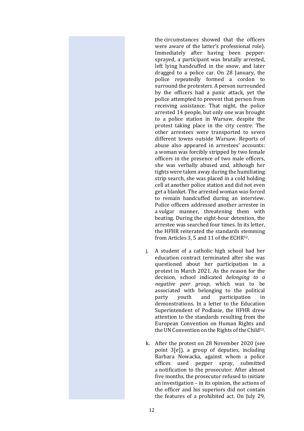the circumstances showed that the officers were aware of the latter's professional role). Immediately after having been peppersprayed, a participant was brutally arrested, left lying handcuffed in the snow, and later dragged to a police car. On 28 January, the police repeatedly formed a cordon to surround the protesters. A person surrounded by the officers had a panic attack, yet the police attempted to prevent that person from receiving assistance. That night, the police arrested 14 people, but only one was brought to a police station in Warsaw, despite the protest taking place in the city centre. The other arrestees were transported to seven different towns outside Warsaw. Reports of abuse also appeared in arrestees' accounts: a woman was forcibly stripped by two female officers in the presence of two male officers, she was verbally abused and, although her tights were taken away during the humiliating strip search, she was placed in a cold holding cell at another police station and did not even get a blanket. The arrested woman was forced to remain handcuffed during an interview. Police officers addressed another arrestee in a vulgar manner, threatening them with beating. During the eight-hour detention, the arrestee was searched four times. In its letter, the HFHR reiterated the standards stemming from Articles 3, 5 and 11 of the ECHR<sup>52</sup>.

- j. A student of a catholic high school had her education contract terminated after she was questioned about her participation in a protest in March 2021. As the reason for the decision, school indicated *belonging to a negative peer group*, which was to be associated with belonging to the political party youth and participation in demonstrations. In a letter to the Education Superintendent of Podlasie, the HFHR drew attention to the standards resulting from the European Convention on Human Rights and the UN Convention on the Rights of the Child<sup>53</sup>.
- k. After the protest on 28 November 2020 (see point 3[e]), a group of deputies, including Barbara Nowacka, against whom a police offices used pepper spray, submitted a notification to the prosecutor. After almost five months, the prosecutor refused to initiate an investigation – in its opinion, the actions of the officer and his superiors did not contain the features of a prohibited act. On July 29,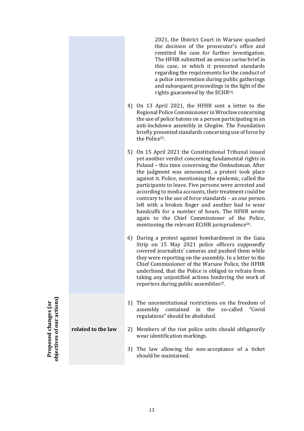2021, the District Court in Warsaw quashed the decision of the prosecutor's office and remitted the case for further investigation. The HFHR submitted an *amicus curiae* brief in this case, in which it presented standards regarding the requirements for the conduct of a police intervention during public gatherings and subsequent proceedings in the light of the rights guaranteed by the ECHR54.

- 4) On 13 April 2021, the HFHR sent a letter to the Regional Police Commissioner in Wrocław concerning the use of police batons on a person participating in an anti-lockdown assembly in Głogów. The Foundation briefly presented standards concerning use of force by the Police<sup>55</sup>.
- 5) On 15 April 2021 the Constitutional Tribunal issued yet another verdict concerning fundamental rights in Poland – this time concerning the Ombudsman. After the judgment was announced, a protest took place against it. Police, mentioning the epidemic, called the participants to leave. Five persons were arrested and according to media accounts, their treatment could be contrary to the use of force standards – as one person left with a broken finger and another had to wear handcuffs for a number of hours. The HFHR wrote again to the Chief Commissioner of the Police, mentioning the relevant ECtHR jurisprudence<sup>56</sup>.
- 6) During a protest against bombardment in the Gaza Strip on 15 May 2021 police officers supposedly covered journalists' cameras and pushed them while they were reporting on the assembly. In a letter to the Chief Commissioner of the Warsaw Police, the HFHR underlined, that the Police is obliged to refrain from taking any unjustified actions hindering the work of reporters during public assemblies<sup>57</sup>.
- 1) The unconstitutional restrictions on the freedom of assembly contained in the so-called "Covid regulations" should be abolished.
- **related to the law** 2) Members of the riot police units should obligatorily wear identification markings.
	- 3) The law allowing the non-acceptance of a ticket should be maintained.

**Proposed changes (or<br>objectives of our actions)**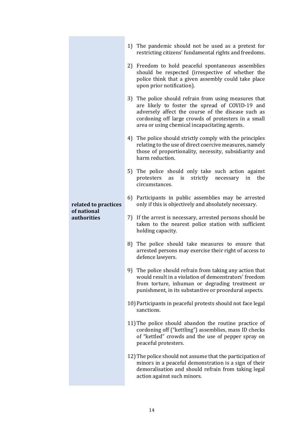| related to practices<br>of national<br><b>authorities</b> | 1) The pandemic should not be used as a pretext for<br>restricting citizens' fundamental rights and freedoms.                                                                                                                                                          |
|-----------------------------------------------------------|------------------------------------------------------------------------------------------------------------------------------------------------------------------------------------------------------------------------------------------------------------------------|
|                                                           | 2) Freedom to hold peaceful spontaneous assemblies<br>should be respected (irrespective of whether the<br>police think that a given assembly could take place<br>upon prior notification).                                                                             |
|                                                           | 3) The police should refrain from using measures that<br>are likely to foster the spread of COVID-19 and<br>adversely affect the course of the disease such as<br>cordoning off large crowds of protesters in a small<br>area or using chemical incapacitating agents. |
|                                                           | 4) The police should strictly comply with the principles<br>relating to the use of direct coercive measures, namely<br>those of proportionality, necessity, subsidiarity and<br>harm reduction.                                                                        |
|                                                           | 5) The police should only take such action against<br>protesters<br>is<br>strictly necessary<br>as<br>in<br>the<br>circumstances.                                                                                                                                      |
|                                                           | 6) Participants in public assemblies may be arrested<br>only if this is objectively and absolutely necessary.                                                                                                                                                          |
|                                                           | 7) If the arrest is necessary, arrested persons should be<br>taken to the nearest police station with sufficient<br>holding capacity.                                                                                                                                  |
|                                                           | 8) The police should take measures to ensure that<br>arrested persons may exercise their right of access to<br>defence lawyers.                                                                                                                                        |
|                                                           | 9) The police should refrain from taking any action that<br>would result in a violation of demonstrators' freedom<br>from torture, inhuman or degrading treatment or<br>punishment, in its substantive or procedural aspects.                                          |
|                                                           | 10) Participants in peaceful protests should not face legal<br>sanctions.                                                                                                                                                                                              |
|                                                           | 11) The police should abandon the routine practice of<br>cordoning off ("kettling") assemblies, mass ID checks<br>of "kettled" crowds and the use of pepper spray on<br>peaceful protesters.                                                                           |
|                                                           | 12) The police should not assume that the participation of<br>minors in a peaceful demonstration is a sign of their<br>demoralisation and should refrain from taking legal<br>action against such minors.                                                              |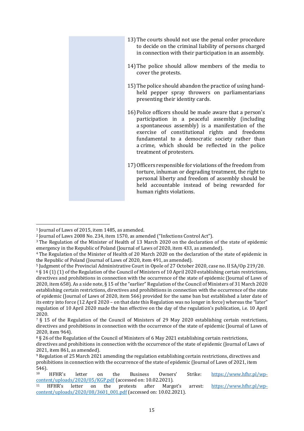13)The courts should not use the penal order procedure to decide on the criminal liability of persons charged in connection with their participation in an assembly. 14)The police should allow members of the media to cover the protests. 15)The police should abandon the practice of using handheld pepper spray throwers on parliamentarians presenting their identity cards. 16)Police officers should be made aware that a person's participation in a peaceful assembly (including a spontaneous assembly) is a manifestation of the exercise of constitutional rights and freedoms fundamental to a democratic society rather than a crime, which should be reflected in the police treatment of protesters. 17)Officers responsible for violations of the freedom from torture, inhuman or degrading treatment, the right to personal liberty and freedom of assembly should be held accountable instead of being rewarded for human rights violations.

 $\overline{a}$ 

<sup>1</sup> Journal of Laws of 2015, item 1485, as amended.

<sup>2</sup> Journal of Laws 2008 No. 234, item 1570, as amended ("Infections Control Act").

<sup>3</sup> The Regulation of the Minister of Health of 13 March 2020 on the declaration of the state of epidemic emergency in the Republic of Poland (Journal of Laws of 2020, item 433, as amended).

<sup>4</sup> The Regulation of the Minister of Health of 20 March 2020 on the declaration of the state of epidemic in the Republic of Poland (Journal of Laws of 2020, item 491, as amended).

<sup>5</sup> Judgment of the Provincial Administrative Court in Opole of 27 October 2020, case no. II SA/Op 219/20.

 $6$  § 14 (1) (1) of the Regulation of the Council of Ministers of 10 April 2020 establishing certain restrictions, directives and prohibitions in connection with the occurrence of the state of epidemic (Journal of Laws of 2020, item 658). As a side note, § 15 of the "earlier" Regulation of the Council of Ministers of 31 March 2020 establishing certain restrictions, directives and prohibitions in connection with the occurrence of the state of epidemic (Journal of Laws of 2020, item 566) provided for the same ban but established a later date of its entry into force (12 April 2020 – on that date this Regulation was no longer in force) whereas the "later" regulation of 10 April 2020 made the ban effective on the day of the regulation's publication, i.e. 10 April 2020.

<sup>7</sup> § 15 of the Regulation of the Council of Ministers of 29 May 2020 establishing certain restrictions, directives and prohibitions in connection with the occurrence of the state of epidemic (Journal of Laws of 2020, item 964).

<sup>&</sup>lt;sup>8</sup> § 26 of the Regulation of the Council of Ministers of 6 May 2021 establishing certain restrictions, directives and prohibitions in connection with the occurrence of the state of epidemic (Journal of Laws of 2021, item 861, as amended).

<sup>9</sup> Regulation of 25 March 2021 amending the regulation establishing certain restrictions, directives and prohibitions in connection with the occurrence of the state of epidemic (Journal of Laws of 2021, item 546).

<sup>10</sup> HFHR's letter on the Business Owners' Strike: [https://www.hfhr.pl/wp](https://www.hfhr.pl/wp-content/uploads/2020/05/KGP.pdf)[content/uploads/2020/05/KGP.pdf](https://www.hfhr.pl/wp-content/uploads/2020/05/KGP.pdf) (accessed on: 10.02.2021).<br><sup>11</sup> HFHR's letter on the protests after Margo

<sup>11</sup> HFHR's letter on the protests after Margot's arrest: [https://www.hfhr.pl/wp](https://www.hfhr.pl/wp-content/uploads/2020/08/3601_001.pdf)[content/uploads/2020/08/3601\\_001.pdf](https://www.hfhr.pl/wp-content/uploads/2020/08/3601_001.pdf) (accessed on: 10.02.2021).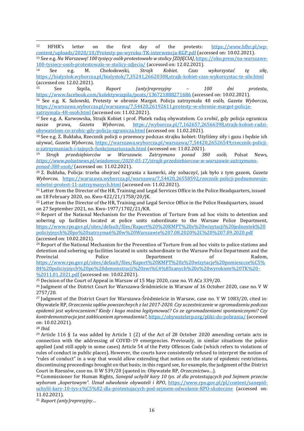-<sup>12</sup> HFHR's letter on the first day of the protests: [https://www.hfhr.pl/wp](https://www.hfhr.pl/wp-content/uploads/2020/10/Protesty-po-wyroku-TK-interwencja-KGP.pdf)[content/uploads/2020/10/Protesty-po-wyroku-TK-interwencja-KGP.pdf](https://www.hfhr.pl/wp-content/uploads/2020/10/Protesty-po-wyroku-TK-interwencja-KGP.pdf) (accessed on: 10.02.2021).

<sup>13</sup> See e.g. *Na Warszawę! 100 tysięcy osób protestowało w stolicy [ZDJĘCIA]*[, https://oko.press/na-warszawe-](https://oko.press/na-warszawe-100-tysiecy-osob-protestowalo-w-stolicy-zdjecia/)[100-tysiecy-osob-protestowalo-w-stolicy-zdjecia/](https://oko.press/na-warszawe-100-tysiecy-osob-protestowalo-w-stolicy-zdjecia/) (accessed on: 12.02.2021).<br><sup>14</sup> See e.g. M. Chołodowski, *Straik Kobiet. Czas* 

<sup>14</sup> See e.g. M. Chołodowski, *Strajk Kobiet. Czas wykorzystać tę siłę*, <https://bialystok.wyborcza.pl/bialystok/7,35241,26620308,strajk-kobiet-czas-wykorzystac-te-sile.html>  $\left(\frac{\text{accessed on: } 12.02.2021\right)}{560}$ 

<sup>15</sup> See Szpila, *Raport (anty)represyjny – 100 dni protestu*, <https://www.facebook.com/kolektywszpila/posts/136721888271686> (accessed on: 10.02.2021).

<sup>16</sup> See e.g. K. Sulowski, Protesty w obronie Margot. Policja zatrzymała 48 osób, *Gazeta Wyborcza*, [https://warszawa.wyborcza.pl/warszawa/7,54420,26192611,protesty-w-obronie-margot-policja](https://warszawa.wyborcza.pl/warszawa/7,54420,26192611,protesty-w-obronie-margot-policja-zatrzymala-48-osob.html)[zatrzymala-48-osob.html](https://warszawa.wyborcza.pl/warszawa/7,54420,26192611,protesty-w-obronie-margot-policja-zatrzymala-48-osob.html) (accessed on: 11.02.2021).

<sup>17</sup> See e.g. A. Karwowska, Strajk Kobiet i prof. Płatek radzą obywatelom. Co zrobić, gdy policja ogranicza nasze prawa, *Gazeta Wyborcza*, [https://wyborcza.pl/7,162657,26566398,strajk-kobiet-radzi](https://wyborcza.pl/7,162657,26566398,strajk-kobiet-radzi-obywatelom-co-zrobic-gdy-policja-ogranicza.html)[obywatelom-co-zrobic-gdy-policja-ogranicza.html](https://wyborcza.pl/7,162657,26566398,strajk-kobiet-radzi-obywatelom-co-zrobic-gdy-policja-ogranicza.html) (accessed on: 11.02.2021).

<sup>18</sup> See e.g. Z. Bukłaha, Rzecznik policji o przemocy podczas strajku kobiet: Użyliśmy siły i gazu i będzie ich używać, *Gazeta Wyborcza*, [https://warszawa.wyborcza.pl/warszawa/7,54420,26526549,rzecznik-policji-](https://warszawa.wyborcza.pl/warszawa/7,54420,26526549,rzecznik-policji-o-zatrzymaniach-i-tajnych-funkcjonariuszach.html)

[o-zatrzymaniach-i-tajnych-funkcjonariuszach.html](https://warszawa.wyborcza.pl/warszawa/7,54420,26526549,rzecznik-policji-o-zatrzymaniach-i-tajnych-funkcjonariuszach.html) (accessed on: 11.02.2021).<br><sup>19</sup> Strajk przedsiebiorców w Warszawie. Zatrzymano ponad 38 <sup>19</sup> *Strajk przedsiębiorców w Warszawie. Zatrzymano ponad 380 osób,* Polsat News, *[https://www.polsatnews.pl/wiadomosc/2020-05-17/strajk-przedsiebiorcow-w-warszawie-zatrzymano](https://www.polsatnews.pl/wiadomosc/2020-05-17/strajk-przedsiebiorcow-w-warszawie-zatrzymano-ponad-380-osob/)[ponad-380-osob/](https://www.polsatnews.pl/wiadomosc/2020-05-17/strajk-przedsiebiorcow-w-warszawie-zatrzymano-ponad-380-osob/)* (accessed on: 11.02.2021).

<sup>20</sup> Z. Bukłaha, Policja: trzeba obejrzeć nagrania z kamerki, aby zobaczyć, jak było z tym gazem, *Gazeta Wyborcza*, [https://warszawa.wyborcza.pl/warszawa/7,54420,26558592,rzecznik-policji-podsumowuje](https://warszawa.wyborcza.pl/warszawa/7,54420,26558592,rzecznik-policji-podsumowuje-sobotni-protest-11-zatrzymanych.html)[sobotni-protest-11-zatrzymanych.html](https://warszawa.wyborcza.pl/warszawa/7,54420,26558592,rzecznik-policji-podsumowuje-sobotni-protest-11-zatrzymanych.html) (accessed on: 11.02.2021).

<sup>21</sup> Letter from the Director of the HR, Training and Legal Services Office in the Police Headquarters, issued on 18 February 2020, no. Kwo-422/21/1758/20/JK.

<sup>22</sup> Letter from the Director of the HR, Training and Legal Service Office in the Police Headquarters, issued on 27 September 2021, no. Kwo-1977/1702/21/KR.

<sup>23</sup> Report of the National Mechanism for the Prevention of Torture from ad hoc visits to detention and sobering up facilities located at police units subordinate to the Warsaw Police Department, [https://www.rpo.gov.pl/sites/default/files/Raport%20%20KMPT%20z%20wizytacji%20jednostek%20](https://www.rpo.gov.pl/sites/default/files/Raport%20%20KMPT%20z%20wizytacji%20jednostek%20policyjnych%20po%20zatrzymaniach%20w%20Warszawie%207.08.2020%2C%20%207.09.2020.pdf) [policiyjnych%20po%20zatrzymań%20w%20Warszawie%207.08.2020%2C%20%207.09.2020.pdf](https://www.rpo.gov.pl/sites/default/files/Raport%20%20KMPT%20z%20wizytacji%20jednostek%20policyjnych%20po%20zatrzymaniach%20w%20Warszawie%207.08.2020%2C%20%207.09.2020.pdf) (accessed on: 10.02.2021).

<sup>24</sup> Report of the National Mechanism for the Prevention of Torture from ad hoc visits to police stations and detention and sobering up facilities located in units subordinate to the Warsaw Police Department and the Provincial Police Department of Radom, [https://www.rpo.gov.pl/sites/default/files/Raport%20KMPT%20z%20wizytacje%20pomieszcze%C5%](https://www.rpo.gov.pl/sites/default/files/Raport%20KMPT%20z%20wizytacje%20pomieszcze%C5%84%20policyjnych%20po%20demonstracjach%20zwi%C4%85zanych%20z%20wyrokiem%20TK%20-%2011.01.2021.pdf) [84%20policiyjnych%20po%20demonstracji%20zwi%C4%85zanych%20z%20wyrokiem%20TK%20-](https://www.rpo.gov.pl/sites/default/files/Raport%20KMPT%20z%20wizytacje%20pomieszcze%C5%84%20policyjnych%20po%20demonstracjach%20zwi%C4%85zanych%20z%20wyrokiem%20TK%20-%2011.01.2021.pdf)

[%2011.01.2021.pdf](https://www.rpo.gov.pl/sites/default/files/Raport%20KMPT%20z%20wizytacje%20pomieszcze%C5%84%20policyjnych%20po%20demonstracjach%20zwi%C4%85zanych%20z%20wyrokiem%20TK%20-%2011.01.2021.pdf) (accessed on: 10.02.2021).

<sup>25</sup> Decision of the Court of Appeal in Warsaw of 15 May 2020, case no. VI ACz 339/20.

<sup>26</sup> Judgment of the District Court for Warszawa-Śródmieście in Warsaw of 16 October 2020, case no. V W 2757/20.

<sup>27</sup> Judgment of the District Court for Warszawa-Śródmieście in Warsaw, case no. V W 1083/20, cited in: Obywatele RP, *Orzeczenia sądów powszechnych z lat 2017-2020. Czy uczestniczenie w zgromadzeniu podczas epidemii jest wykroczeniem? Kiedy i kogo można legitymować? Co ze zgromadzeniami spontanicznymi? Czy kontrdemonstracja jest zakłócaniem zgromadzenia?,* <https://obywatelerp.org/pliki-do-pobrania/> (accessed on: 10.02.2021).

<sup>28</sup> *Ibid*.

<sup>29</sup> Article 116 § 1a was added by Article 1 (2) of the Act of 28 October 2020 amending certain acts in connection with the addressing of COVID-19 emergencies. Previously, in similar situations the police applied (and still apply in some cases) Article 54 of the Petty Offences Code (which refers to violations of rules of conduct in public places). However, the courts have consistently refused to interpret the notion of "rules of conduct" in a way that would allow extending that notion on the state of epidemic restrictions, discontinuing proceedings brought on that basis; in this regard see, for example, the judgment of the District Court in Rzeszów, case no. II W 539/20 (quoted in: Obywatele RP, *Orzecznictwo…*).

<sup>30</sup> Commissioner for Human Rights, *Sanepid uchylił kary 10 tys. zł dla protestujących pod Sejmem przeciw wyborom "kopertowym". Uznał odwołanie obywateli i RPO*, [https://www.rpo.gov.pl/pl/content/sanepid](https://www.rpo.gov.pl/pl/content/sanepid-uchylil-kary-10-tys-z%C5%82-dla-protestujacych-pod-sejmem-odwolanie-RPO-skuteczne)[uchylil-kary-10-tys-z%C5%82-dla-protestujacych-pod-sejmem-odwolanie-RPO-skuteczne](https://www.rpo.gov.pl/pl/content/sanepid-uchylil-kary-10-tys-z%C5%82-dla-protestujacych-pod-sejmem-odwolanie-RPO-skuteczne) (accessed on: 11.02.2021).

<sup>31</sup> *Raport (anty)represyjny*…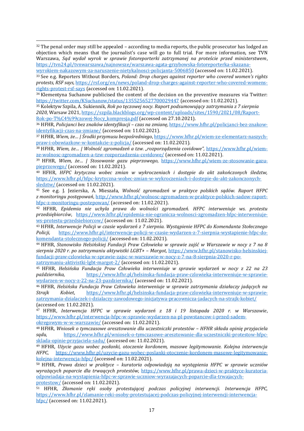-<sup>32</sup> The penal order may still be appealed - according to media reports, the public prosecutor has lodged an objection which means that the journalist's case will go to full trial. For more information, see TVN Warszawa, *Sąd wydał wyrok w sprawie fotoreporterki zatrzymanej na proteście przed ministerstwem*, [https://tvn24.pl/tvnwarszawa/najnowsze/warszawa-agata-grzybowska-fotoreporterka-skazana-](https://tvn24.pl/tvnwarszawa/najnowsze/warszawa-agata-grzybowska-fotoreporterka-skazana-wyrokiem-nakazowym-za-naruszenie-nietykalnosci-policjanta-5006850)

[wyrokiem-nakazowym-za-naruszenie-nietykalnosci-policjanta-5006850](https://tvn24.pl/tvnwarszawa/najnowsze/warszawa-agata-grzybowska-fotoreporterka-skazana-wyrokiem-nakazowym-za-naruszenie-nietykalnosci-policjanta-5006850) (accessed on: 11.02.2021).

<sup>33</sup> See e.g. Reporters Without Borders, *Poland: Drop charges against reporter who covered women's rights protests, RSF says,* [https://rsf.org/en/news/poland-drop-charges-against-reporter-who-covered-womens](https://rsf.org/en/news/poland-drop-charges-against-reporter-who-covered-womens-rights-protest-rsf-says)[rights-protest-rsf-says](https://rsf.org/en/news/poland-drop-charges-against-reporter-who-covered-womens-rights-protest-rsf-says) (accessed on: 11.02.2021).

<sup>34</sup> Klementyna Suchanow publicised the content of the decision on the preventive measures via Twitter: <https://twitter.com/KSuchanow/status/1355256527700029447> (accessed on: 11.02.2021).

<sup>35</sup> Kolektyw Szpila, A. Sukiennik, *Rok po tęczowej nocy. Raport podsumowujący zatrzymania z 7 sierpnia 2020*, Warsaw 2021, [https://szpila.blackblogs.org/wp-content/uploads/sites/1590/2021/08/Raport-](https://szpila.blackblogs.org/wp-content/uploads/sites/1590/2021/08/Raport-Rok-po-T%C4%99czowej-Nocy_kompresja.pdf)[Rok-po-T%C4%99czowej-Nocy\\_kompresja.pdf](https://szpila.blackblogs.org/wp-content/uploads/sites/1590/2021/08/Raport-Rok-po-T%C4%99czowej-Nocy_kompresja.pdf) (accessed on 27.10.2021).

<sup>36</sup> HFHR, *Policjanci bez znaków identyfikacji – czas na zmianę*[, https://www.hfhr.pl/policjanci-bez-znakow](https://www.hfhr.pl/policjanci-bez-znakow-identyfikacji-czas-na-zmiane/)[identyfikacji-czas-na-zmiane/](https://www.hfhr.pl/policjanci-bez-znakow-identyfikacji-czas-na-zmiane/) (accessed on: 11.02.2021).

<sup>37</sup> HFHR, *Wiem, że… | Środki przymusu bezpośredniego*, [https://www.hfhr.pl/wiem-ze-elementarz-naszych](https://www.hfhr.pl/wiem-ze-elementarz-naszych-praw-i-obowiazkow-w-kontakcie-z-policja/)[praw-i-obowiazkow-w-kontakcie-z-policja/](https://www.hfhr.pl/wiem-ze-elementarz-naszych-praw-i-obowiazkow-w-kontakcie-z-policja/) (accessed on: 11.02.2021).

<sup>38</sup> HFHR, *Wiem, że… | Wolność zgromadzeń a tzw. "rozporządzenia covidowe",* [https://www.hfhr.pl/wiem](https://www.hfhr.pl/wiem-ze-wolnosc-zgromadzen-a-tzw-rozporzadzenia-covidowe/)[ze-wolnosc-zgromadzen-a-tzw-rozporzadzenia-covidowe/](https://www.hfhr.pl/wiem-ze-wolnosc-zgromadzen-a-tzw-rozporzadzenia-covidowe/) (accessed on: 11.02.2021).

<sup>39</sup> HFHR, *Wiem, że… | Stosowanie gazu pieprzowego*, [https://www.hfhr.pl/wiem-ze-stosowanie-gazu](https://www.hfhr.pl/wiem-ze-stosowanie-gazu-pieprzowego/)[pieprzowego/](https://www.hfhr.pl/wiem-ze-stosowanie-gazu-pieprzowego/) (accessed on: 11.02.2021).

<sup>40</sup> HFHR, *HFPC krytyczna wobec zmian w wykroczeniach i dostępie do akt zakończonych śledztw,*  [https://www.hfhr.pl/hfpc-krytyczna-wobec-zmian-w-wykroczeniach-i-dostepie-do-akt-zakonczonych](https://www.hfhr.pl/hfpc-krytyczna-wobec-zmian-w-wykroczeniach-i-dostepie-do-akt-zakonczonych-sledztw/)[sledztw/](https://www.hfhr.pl/hfpc-krytyczna-wobec-zmian-w-wykroczeniach-i-dostepie-do-akt-zakonczonych-sledztw/) (accessed on: 11.02.2021).

<sup>41</sup> See e.g. J. Jezierska, A. Mieszała, *Wolność zgromadzeń w praktyce polskich sądów. Raport HFPC z monitoringu postępowań*, [http://www.hfhr.pl/wolnosc-zgromadzen-w-praktyce-polskich-sadow-raport](http://www.hfhr.pl/wolnosc-zgromadzen-w-praktyce-polskich-sadow-raport-hfpc-z-monitoringu-postepowan/)[hfpc-z-monitoringu-postepowan/](http://www.hfhr.pl/wolnosc-zgromadzen-w-praktyce-polskich-sadow-raport-hfpc-z-monitoringu-postepowan/) (accessed on: 11.02.2021).

<sup>42</sup> HFHR, *Epidemia nie uchyla prawa do wolności zgromadzeń. HFPC interweniuje ws. protestu przedsiębiorców*, [https://www.hfhr.pl/epidemia-nie-ogranicza-wolnosci-zgromadzen-hfpc-interweniuje](https://www.hfhr.pl/epidemia-nie-ogranicza-wolnosci-zgromadzen-hfpc-interweniuje-ws-protestu-przedsiebiorcow/)[ws-protestu-przedsiebiorcow/](https://www.hfhr.pl/epidemia-nie-ogranicza-wolnosci-zgromadzen-hfpc-interweniuje-ws-protestu-przedsiebiorcow/) (accessed on: 11.02.2021).

<sup>43</sup> HFHR, *Interwencje Policji w czasie wydarzeń z 7 sierpnia. Wystąpienie HFPC do Komendanta Stołecznego Policji,* [https://www.hfhr.pl/interwencje-policji-w-czasie-wydarzen-z-7-sierpnia-wystapienie-hfpc-do](https://www.hfhr.pl/interwencje-policji-w-czasie-wydarzen-z-7-sierpnia-wystapienie-hfpc-do-komendanta-stolecznego-policji/)[komendanta-stolecznego-policji/](https://www.hfhr.pl/interwencje-policji-w-czasie-wydarzen-z-7-sierpnia-wystapienie-hfpc-do-komendanta-stolecznego-policji/) (accessed on: 11.02.2021).

<sup>44</sup> HFHR, *Stanowisko Helsińskiej Fundacji Praw Człowieka w sprawie zajść w Warszawie w nocy z 7 na 8 sierpnia 2020 r. po zatrzymaniu aktywistki LGBT+ – Margot*, [https://www.hfhr.pl/stanowisko-helsinskiej](https://www.hfhr.pl/stanowisko-helsinskiej-fundacji-praw-czlowieka-w-sprawie-zajsc-w-warszawie-w-nocy-z-7-na-8-sierpnia-2020-r-po-zatrzymaniu-aktywistki-lgbt-margot-2/)[fundacji-praw-czlowieka-w-sprawie-zajsc-w-warszawie-w-nocy-z-7-na-8-sierpnia-2020-r-po-](https://www.hfhr.pl/stanowisko-helsinskiej-fundacji-praw-czlowieka-w-sprawie-zajsc-w-warszawie-w-nocy-z-7-na-8-sierpnia-2020-r-po-zatrzymaniu-aktywistki-lgbt-margot-2/)

[zatrzymaniu-aktivistki-lgbt-margot-2/](https://www.hfhr.pl/stanowisko-helsinskiej-fundacji-praw-czlowieka-w-sprawie-zajsc-w-warszawie-w-nocy-z-7-na-8-sierpnia-2020-r-po-zatrzymaniu-aktywistki-lgbt-margot-2/) (accessed on: 11.02.2021).

<sup>45</sup> HFHR, *Helsińska Fundacja Praw Człowieka interweniuje w sprawie wydarzeń w nocy z 22 na 23 października*, [https://www.hfhr.pl/helsinska-fundacja-praw-czlowieka-interweniuje-w-sprawie](https://www.hfhr.pl/helsinska-fundacja-praw-czlowieka-interweniuje-w-sprawie-wydarzen-w-nocy-z-22-na-23-pazdziernika/)[wydarzen-w-nocy-z-22-na-23-pazdziernika/](https://www.hfhr.pl/helsinska-fundacja-praw-czlowieka-interweniuje-w-sprawie-wydarzen-w-nocy-z-22-na-23-pazdziernika/) (accessed on: 11.02.2021).

<sup>46</sup> HFHR, *Helsińska Fundacja Praw Człowieka interweniuje w sprawie zatrzymania działaczy jadących na Strajk Kobiet*, [https://www.hfhr.pl/helsinska-fundacja-praw-czlowieka-interweniuje-w-sprawie](https://www.hfhr.pl/helsinska-fundacja-praw-czlowieka-interweniuje-w-sprawie-zatrzymania-dzialaczek-i-dzialaczy-zwiazku-zawodowego-inicjatywa-pracownicza-jadacych-na-strajk-kobiet/)[zatrzymania-dzialaczek-i-dzialaczy-zawodowego-inicjatywa-pracownicza-jadacych-na-strajk-kobiet/](https://www.hfhr.pl/helsinska-fundacja-praw-czlowieka-interweniuje-w-sprawie-zatrzymania-dzialaczek-i-dzialaczy-zwiazku-zawodowego-inicjatywa-pracownicza-jadacych-na-strajk-kobiet/) (accessed on: 11.02.2021).

<sup>47</sup> HFHR, *Interwencja HFPC w sprawie wydarzeń z 18 i 19 listopada 2020 r. w Warszawie*, [https://www.hfhr.pl/interwencja-hfpc-w-sprawie-wydarzen-na-pl-powstancow-i-przed-sadem](https://www.hfhr.pl/interwencja-hfpc-w-sprawie-wydarzen-na-pl-powstancow-i-przed-sadem-okregowym-w-warszawie/)[okregowym-w-w-warszawie/](https://www.hfhr.pl/interwencja-hfpc-w-sprawie-wydarzen-na-pl-powstancow-i-przed-sadem-okregowym-w-warszawie/) (accessed on: 11.02.2021).

<sup>48</sup> HFHR, *Wniosek o tymczasowe aresztowanie dla uczestniczki protestów – HFHR składa opinię przyjaciela sądu,* [https://www.hfhr.pl/wniosek-o-tymczasowe-aresztowanie-dla-uczestniczki-protestow-hfpc](https://www.hfhr.pl/wniosek-o-tymczasowe-aresztowanie-dla-uczestniczki-protestow-hfpc-sklada-opinie-przyjaciela-sadu/)[sklada-opinie-przyjaciela-sadu/](https://www.hfhr.pl/wniosek-o-tymczasowe-aresztowanie-dla-uczestniczki-protestow-hfpc-sklada-opinie-przyjaciela-sadu/) (accessed on: 11.02.2021).

<sup>49</sup> HFHR, *Użycie gazu wobec posłanki, otoczenie kordonem, masowe legitymowanie. Kolejna interwencja HFPC*, [https://www.hfhr.pl/uzycie-gazu-wobec-poslanki-otoczenie-kordonem-masowe-legitymowanie](https://www.hfhr.pl/uzycie-gazu-wobec-poslanki-otoczenie-kordonem-masowe-legitymowanie-kolejna-interwencja-hfpc/)[kolejna-interwencja-hfpc/](https://www.hfhr.pl/uzycie-gazu-wobec-poslanki-otoczenie-kordonem-masowe-legitymowanie-kolejna-interwencja-hfpc/) (accessed on: 11.02.2021).

<sup>50</sup> HFHR, *Prawa dzieci w praktyce – kuratoria odpowiadają na wystąpienia HFPC w sprawie uczniów wyrażących poparcie dla trwaących protestów,* [https://www.hfhr.pl/prawa-dzieci-w-praktyce-kuratoria](https://www.hfhr.pl/prawa-dzieci-w-praktyce-kuratoria-odpowiadaja-na-wystapienia-hfpc-w-sprawie-uczniow-wyrazajacych-poparcie-dla-trwajacych-protestow/)[odpowiadaja-na-wystapienia-hfpc-w-sprawie-uczniow-wyrazajacych-poparcie-dla-trwajacych](https://www.hfhr.pl/prawa-dzieci-w-praktyce-kuratoria-odpowiadaja-na-wystapienia-hfpc-w-sprawie-uczniow-wyrazajacych-poparcie-dla-trwajacych-protestow/)[protestow/](https://www.hfhr.pl/prawa-dzieci-w-praktyce-kuratoria-odpowiadaja-na-wystapienia-hfpc-w-sprawie-uczniow-wyrazajacych-poparcie-dla-trwajacych-protestow/) (accessed on: 11.02.2021).

<sup>51</sup> HFHR, *Złamanie ręki osoby protestującej podczas policyjnej interwencji. Interwencja HFPC,*  [https://www.hfhr.pl/zlamanie-reki-osoby-protestujacej-podczas-policyjnej-interwencji-interwencja](https://www.hfhr.pl/zlamanie-reki-osoby-protestujacej-podczas-policyjnej-interwencji-interwencja-hfpc/)[hfpc/](https://www.hfhr.pl/zlamanie-reki-osoby-protestujacej-podczas-policyjnej-interwencji-interwencja-hfpc/) (accessed on: 11.02.2021).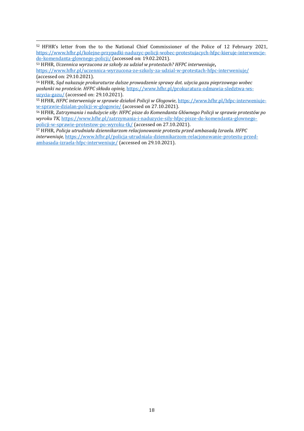<sup>52</sup> HFHR's letter from the to the National Chief Commissioner of the Police of 12 February 2021, [https://www.hfhr.pl/kolejne-przypadki-naduzyc-policji-wobec-protestujacych-hfpc-kieruje-interwencje](https://www.hfhr.pl/kolejne-przypadki-naduzyc-policji-wobec-protestujacych-hfpc-kieruje-interwencje-do-komendanta-glownego-policji/)[do-komendanta-glownego-policji/](https://www.hfhr.pl/kolejne-przypadki-naduzyc-policji-wobec-protestujacych-hfpc-kieruje-interwencje-do-komendanta-glownego-policji/) (accessed on: 19.02.2021).

<sup>53</sup> HFHR, *Uczennica wyrzucona ze szkoły za udział w protestach? HFPC interweniuje***,**  <https://www.hfhr.pl/uczennica-wyrzucona-ze-szkoly-za-udzial-w-protestach-hfpc-interweniuje/> (accessed on: 29.10.2021).

-

<sup>54</sup> HFHR, *Sąd nakazuje prokuraturze dalsze prowadzenie sprawy dot. użycia gazu pieprzowego wobec posłanki na proteście. HFPC składa opinię,* [https://www.hfhr.pl/prokuratura-odmawia-sledztwa-ws](https://www.hfhr.pl/prokuratura-odmawia-sledztwa-ws-uzycia-gazu/)[uzycia-gazu/](https://www.hfhr.pl/prokuratura-odmawia-sledztwa-ws-uzycia-gazu/) (accessed on: 29.10.2021).

<sup>55</sup> HFHR, *HFPC interweniuje w sprawie działań Policji w Głogowie*, [https://www.hfhr.pl/hfpc-interweniuje](https://www.hfhr.pl/hfpc-interweniuje-w-sprawie-dzialan-policji-w-glogowie/)[w-sprawie-dzialan-policji-w-glogowie/](https://www.hfhr.pl/hfpc-interweniuje-w-sprawie-dzialan-policji-w-glogowie/) (accessed on 27.10.2021).

<sup>56</sup> HFHR, *Zatrzymania i nadużycie siły: HFPC pisze do Komendanta Głównego Policji w sprawie protestów po wyroku TK*[, https://www.hfhr.pl/zatrzymania-i-naduzycie-sily-hfpc-pisze-do-komendanta-glownego](https://www.hfhr.pl/zatrzymania-i-naduzycie-sily-hfpc-pisze-do-komendanta-glownego-policji-w-sprawie-protestow-po-wyroku-tk/)[policji-w-sprawie-protestow-po-wyroku-tk/](https://www.hfhr.pl/zatrzymania-i-naduzycie-sily-hfpc-pisze-do-komendanta-glownego-policji-w-sprawie-protestow-po-wyroku-tk/) (accessed on 27.10.2021).

<sup>57</sup> HFHR, *Policja utrudniała dziennikarzom relacjonowanie protestu przed ambasadą Izraela. HFPC interweniuje,* [https://www.hfhr.pl/policja-utrudniala-dziennikarzom-relacjonowanie-protestu-przed](https://www.hfhr.pl/policja-utrudniala-dziennikarzom-relacjonowanie-protestu-przed-ambasada-izraela-hfpc-interweniuje/)[ambasada-izraela-hfpc-interweniuje/](https://www.hfhr.pl/policja-utrudniala-dziennikarzom-relacjonowanie-protestu-przed-ambasada-izraela-hfpc-interweniuje/) (accessed on 29.10.2021).